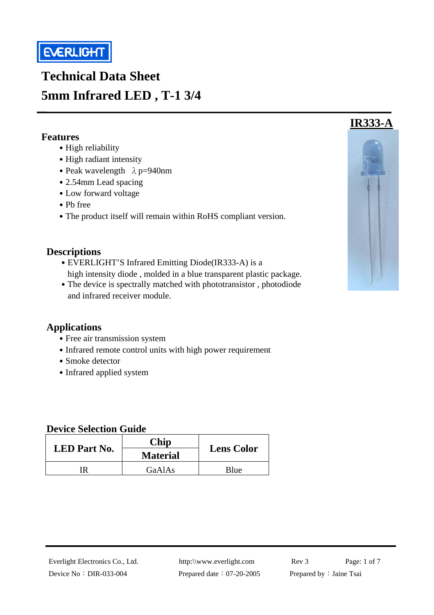

# **Technical Data Sheet 5mm Infrared LED , T-1 3/4**

#### **Features**

í

- High reliability
- High radiant intensity
- Peak wavelength  $\lambda$  p=940nm
- 2.54mm Lead spacing
- ․Low forward voltage
- ․Pb free
- The product itself will remain within RoHS compliant version.

#### **Descriptions**

- EVERLIGHT'S Infrared Emitting Diode(IR333-A) is a high intensity diode , molded in a blue transparent plastic package.
- The device is spectrally matched with phototransistor, photodiode and infrared receiver module.

#### **Applications**

- Free air transmission system
- Infrared remote control units with high power requirement
- Smoke detector
- Infrared applied system

#### **Device Selection Guide**

| <b>LED</b> Part No. | Chip<br><b>Material</b> | <b>Lens Color</b> |  |
|---------------------|-------------------------|-------------------|--|
| ΓR                  | GaAlAs                  | Blue              |  |

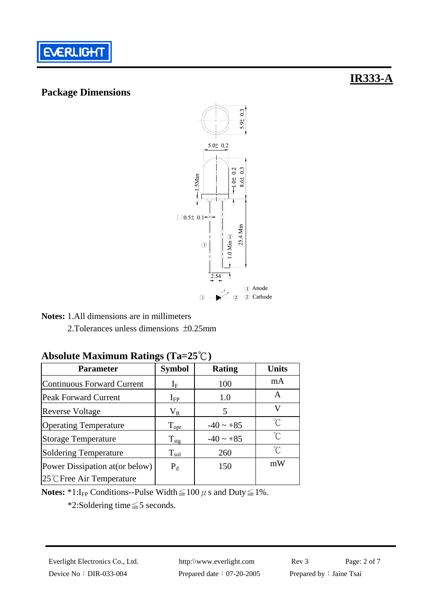

## **Package Dimensions**



**Notes:** 1.All dimensions are in millimeters

2.Tolerances unless dimensions ±0.25mm

#### **Absolute Maximum Ratings (Ta=25**℃**)**

| <b>Parameter</b>                    | <b>Symbol</b>       | <b>Rating</b>  | <b>Units</b> |
|-------------------------------------|---------------------|----------------|--------------|
| <b>Continuous Forward Current</b>   | ${\rm I}_{{\rm F}}$ | 100            | mA           |
| <b>Peak Forward Current</b>         | $I_{FP}$            | 1.0            | A            |
| <b>Reverse Voltage</b>              | $V_{R}$             | 5              | V            |
| <b>Operating Temperature</b>        | $\rm T_{\rm opr}$   | $-40 \sim +85$ | °C           |
| <b>Storage Temperature</b>          | $T_{\text{stg}}$    | $-40 \sim +85$ | °C           |
| <b>Soldering Temperature</b>        | $T_{sol}$           | 260            | ′ົ           |
| Power Dissipation at (or below)     | $P_d$               | 150            | mW           |
| $25^{\circ}$ C Free Air Temperature |                     |                |              |

**Notes:**  $*1:I_{FP}$  Conditions--Pulse Width  $\leq 100 \mu$  s and Duty  $\leq 1\%$ .

\*2:Soldering time≦5 seconds.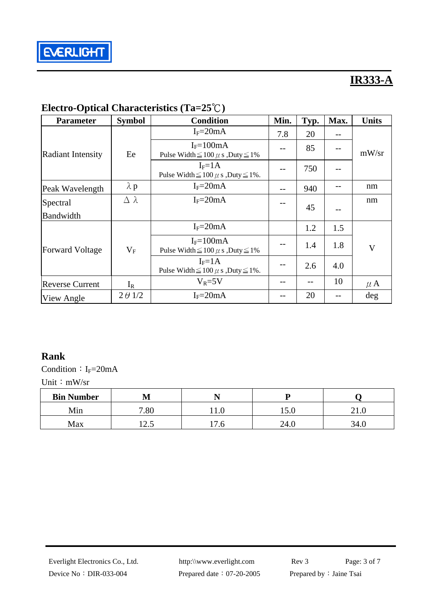

| <b>Parameter</b>         | <b>Symbol</b>    | <b>Condition</b>                                                | Min. | Typ.  | Max. | <b>Units</b>            |
|--------------------------|------------------|-----------------------------------------------------------------|------|-------|------|-------------------------|
|                          |                  | $I_F = 20mA$                                                    | 7.8  | 20    | --   |                         |
| <b>Radiant Intensity</b> | Ee               | $I_F = 100mA$<br>Pulse Width $\leq 100 \mu$ s , Duty $\leq 1\%$ |      | 85    | --   | mW/sr                   |
|                          |                  | $I_F = 1A$<br>Pulse Width $\leq 100 \mu$ s , Duty $\leq 1\%$ .  |      | 750   | $-$  |                         |
| Peak Wavelength          | $\lambda$ p      | $I_F = 20mA$                                                    | --   | 940   | --   | nm                      |
| Spectral                 | $\Delta \lambda$ | $I_F = 20mA$                                                    |      | 45    |      | nm                      |
| <b>Bandwidth</b>         |                  |                                                                 |      |       |      |                         |
|                          |                  | $I_F = 20mA$                                                    |      | 1.2   | 1.5  |                         |
| <b>Forward Voltage</b>   | $\rm V_F$        | $I_F = 100mA$<br>Pulse Width $\leq 100 \mu$ s , Duty $\leq 1\%$ |      | 1.4   | 1.8  | $\overline{\mathsf{V}}$ |
|                          |                  | $I_F = 1A$<br>Pulse Width $\leq 100 \mu$ s , Duty $\leq 1\%$ .  | --   | 2.6   | 4.0  |                         |
| <b>Reverse Current</b>   | $I_{R}$          | $V_R = 5V$                                                      |      | $- -$ | 10   | $\mu$ A                 |
| View Angle               | $2 \theta$ 1/2   | $I_F = 20mA$                                                    |      | 20    |      | deg                     |

# **Electro-Optical Characteristics (Ta=25**℃**)**

#### **Rank**

Condition:  $I_F=20mA$ 

Unit: mW/sr

| <b>Bin Number</b> | M                         |                                            | n       |      |
|-------------------|---------------------------|--------------------------------------------|---------|------|
| Min               | 7.00<br>.ou               | 11.V                                       | 1 J . U | 41.U |
| Max               | $\sim$ $\epsilon$<br>⊥∠.J | $\overline{ }$<br>$\overline{\phantom{a}}$ | 44.U    | 34.0 |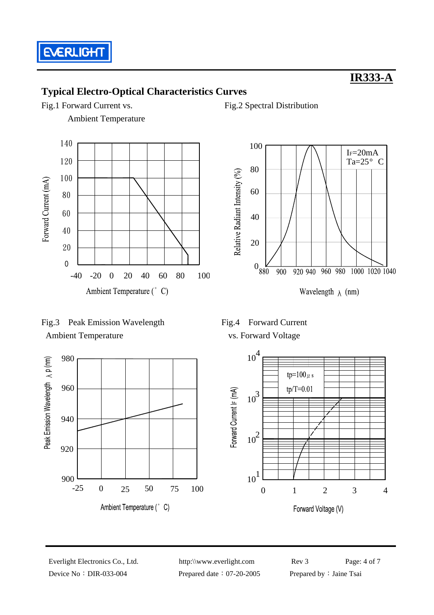

 $I_F = 20mA$ Ta= $25^{\circ}$  C

## **Typical Electro-Optical Characteristics Curves**

Fig.1 Forward Current vs. Fig.2 Spectral Distribution

Ambient Temperature



Fig.3 Peak Emission Wavelength Fig.4 Forward Current Ambient Temperature vs. Forward Voltage





 $0_{880}$ 

920 940

960 980

Wavelength  $\lambda$  (nm)

1040

Relative Radiant Intensity (%)



Device No: DIR-033-004 Prepared date: 07-20-2005 Prepared by: Jaine Tsai

Everlight Electronics Co., Ltd. http:\\www.everlight.com Rev 3 Page: 4 of 7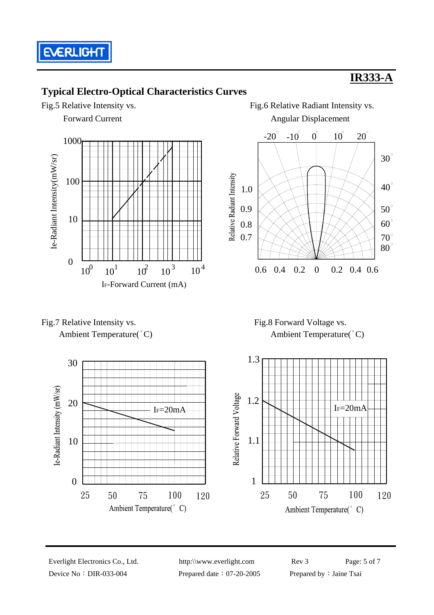

## **Typical Electro-Optical Characteristics Curves**













Device No: DIR-033-004 Prepared date: 07-20-2005 Prepared by: Jaine Tsai

Everlight Electronics Co., Ltd. http:\\www.everlight.com Rev 3 Page: 5 of 7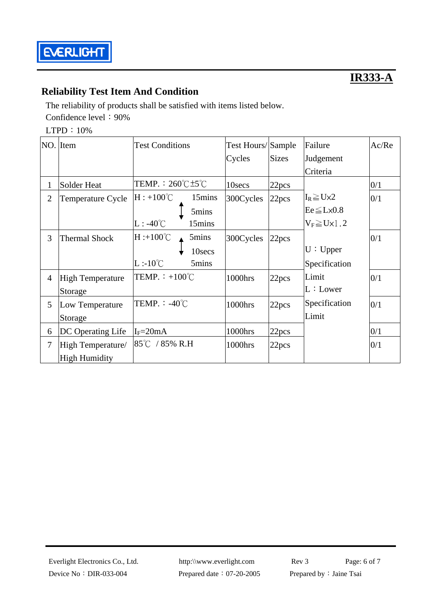

## **Reliability Test Item And Condition**

The reliability of products shall be satisfied with items listed below. Confidence level: 90%

LTPD: 10%

|                | NO. Item                | <b>Test Conditions</b>                       | Test Hours/Sample |                   | Failure                 | Ac/Re |
|----------------|-------------------------|----------------------------------------------|-------------------|-------------------|-------------------------|-------|
|                |                         |                                              | Cycles            | <b>Sizes</b>      | Judgement               |       |
|                |                         |                                              |                   |                   | Criteria                |       |
| 1              | <b>Solder Heat</b>      | TEMP. : $260^{\circ}$ C $\pm$ 5 $^{\circ}$ C | 10secs            | 22pcs             |                         | 0/1   |
| $\overline{2}$ | Temperature Cycle       | $H: +100^{\circ}C$<br>15mins                 | 300Cycles         | 22 <sub>pcs</sub> | $I_R \geq U \times 2$   | 0/1   |
|                |                         | 5mins                                        |                   |                   | $Ee \leq L \times 0.8$  |       |
|                |                         | $L: -40^{\circ}C$<br>15mins                  |                   |                   | $V_F \geq U \times 1.2$ |       |
| 3              | <b>Thermal Shock</b>    | $H : +100^{\circ}C$<br>5mins                 | 300Cycles         | 22 <sub>pcs</sub> |                         | 0/1   |
|                |                         | 10secs                                       |                   |                   | U: Upper                |       |
|                |                         | $L:10^{\circ}C$<br>5mins                     |                   |                   | Specification           |       |
| $\overline{4}$ | <b>High Temperature</b> | TEMP. $\div$ +100°C                          | 1000hrs           | 22pcs             | Limit                   | 0/1   |
|                | Storage                 |                                              |                   |                   | L:Lower                 |       |
| 5              | Low Temperature         | TEMP. $: -40^{\circ}$ C                      | 1000hrs           | 22pcs             | Specification           | 0/1   |
|                | Storage                 |                                              |                   |                   | Limit                   |       |
| 6              | DC Operating Life       | $I_F = 20mA$                                 | 1000hrs           | 22 <sub>pcs</sub> |                         | 0/1   |
| $\overline{7}$ | High Temperature/       | 85°C / 85% R.H                               | 1000hrs           | 22pcs             |                         | 0/1   |
|                | <b>High Humidity</b>    |                                              |                   |                   |                         |       |